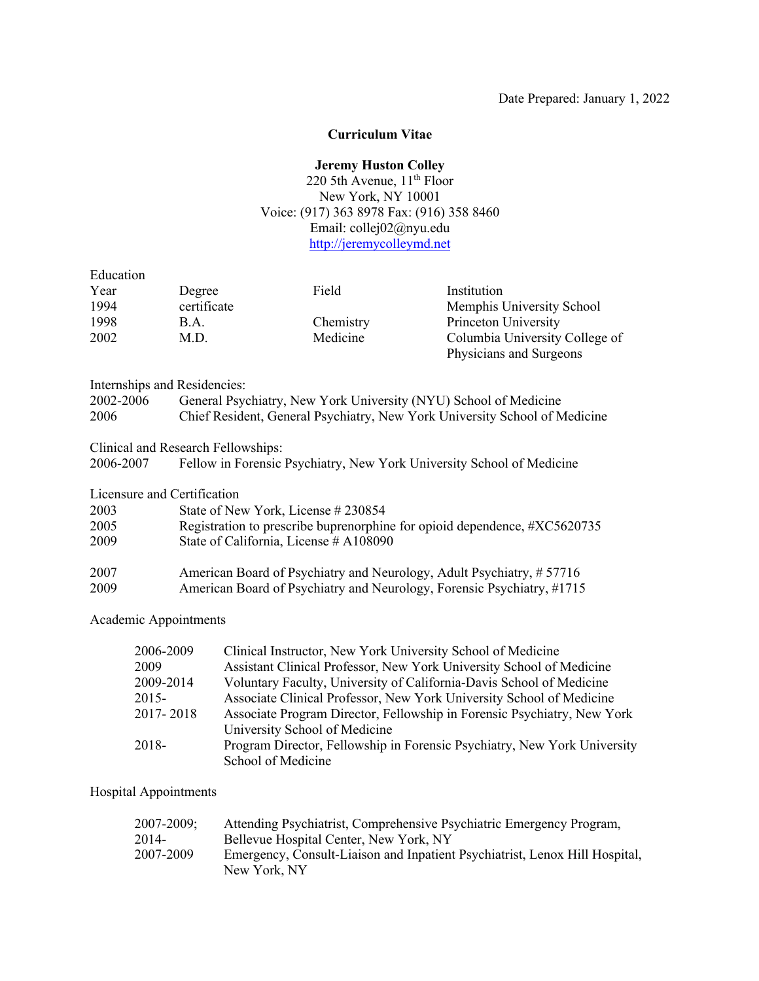#### **Curriculum Vitae**

### **Jeremy Huston Colley**

# 220 5th Avenue,  $11<sup>th</sup>$  Floor New York, NY 10001 Voice: (917) 363 8978 Fax: (916) 358 8460 Email: collej02@nyu.edu http://jeremycolleymd.net

| Education |                                                                            |           |                                                                  |
|-----------|----------------------------------------------------------------------------|-----------|------------------------------------------------------------------|
| Year      | Degree                                                                     | Field     | Institution                                                      |
| 1994      | certificate                                                                |           | Memphis University School                                        |
| 1998      | <b>B.A.</b>                                                                | Chemistry | Princeton University                                             |
| 2002      | M.D.                                                                       | Medicine  | Columbia University College of                                   |
|           |                                                                            |           | Physicians and Surgeons                                          |
|           | <b>Internships and Residencies:</b>                                        |           |                                                                  |
| 2002-2006 |                                                                            |           | General Psychiatry, New York University (NYU) School of Medicine |
| 2006      | Chief Resident, General Psychiatry, New York University School of Medicine |           |                                                                  |
|           | Clinical and Research Fellowships:                                         |           |                                                                  |
| 2006-2007 | Fellow in Forensic Psychiatry, New York University School of Medicine      |           |                                                                  |

Licensure and Certification

| 2003 | State of New York, License #230854                                        |
|------|---------------------------------------------------------------------------|
| 2005 | Registration to prescribe buprenorphine for opioid dependence, #XC5620735 |
| 2009 | State of California, License # A108090                                    |
| 2007 | American Board of Psychiatry and Neurology, Adult Psychiatry, #57716      |
| 2009 | American Board of Psychiatry and Neurology, Forensic Psychiatry, #1715    |

Academic Appointments

| 2006-2009 | Clinical Instructor, New York University School of Medicine              |
|-----------|--------------------------------------------------------------------------|
| 2009      | Assistant Clinical Professor, New York University School of Medicine     |
| 2009-2014 | Voluntary Faculty, University of California-Davis School of Medicine     |
| $2015-$   | Associate Clinical Professor, New York University School of Medicine     |
| 2017-2018 | Associate Program Director, Fellowship in Forensic Psychiatry, New York  |
|           | University School of Medicine                                            |
| 2018-     | Program Director, Fellowship in Forensic Psychiatry, New York University |
|           | School of Medicine                                                       |

# Hospital Appointments

| 2007-2009; | Attending Psychiatrist, Comprehensive Psychiatric Emergency Program,        |
|------------|-----------------------------------------------------------------------------|
| 2014-      | Bellevue Hospital Center, New York, NY                                      |
| 2007-2009  | Emergency, Consult-Liaison and Inpatient Psychiatrist, Lenox Hill Hospital, |
|            | New York, NY                                                                |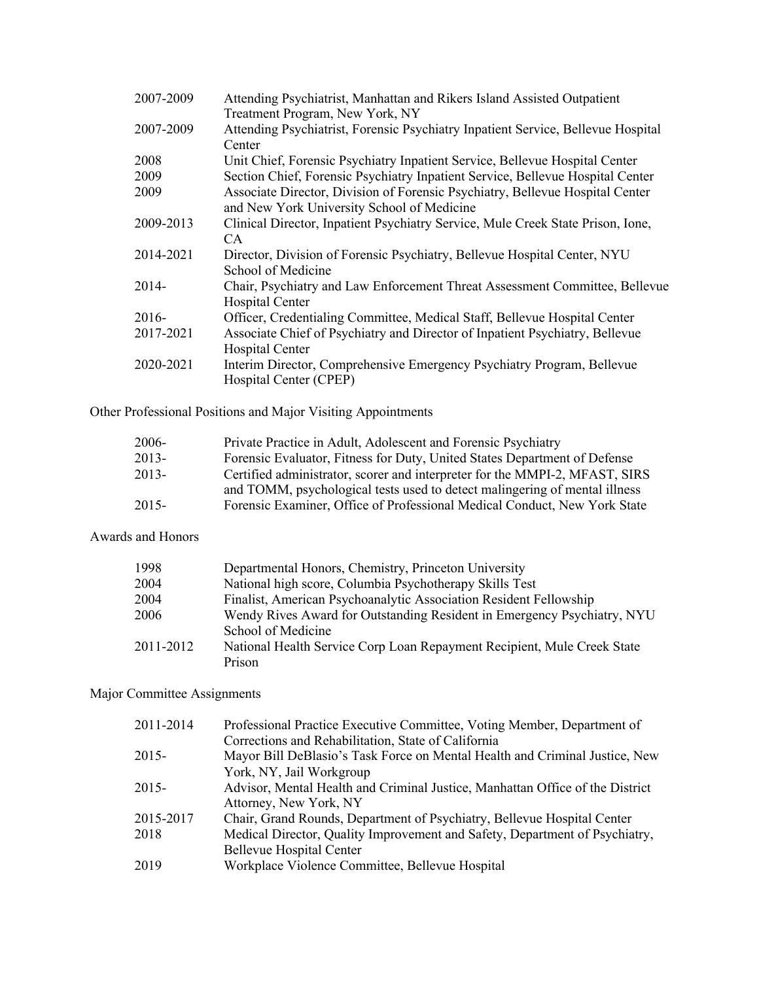| 2007-2009 | Attending Psychiatrist, Manhattan and Rikers Island Assisted Outpatient          |
|-----------|----------------------------------------------------------------------------------|
|           | Treatment Program, New York, NY                                                  |
| 2007-2009 | Attending Psychiatrist, Forensic Psychiatry Inpatient Service, Bellevue Hospital |
|           | Center                                                                           |
| 2008      | Unit Chief, Forensic Psychiatry Inpatient Service, Bellevue Hospital Center      |
| 2009      | Section Chief, Forensic Psychiatry Inpatient Service, Bellevue Hospital Center   |
| 2009      | Associate Director, Division of Forensic Psychiatry, Bellevue Hospital Center    |
|           | and New York University School of Medicine                                       |
| 2009-2013 | Clinical Director, Inpatient Psychiatry Service, Mule Creek State Prison, Ione,  |
|           | CA.                                                                              |
| 2014-2021 | Director, Division of Forensic Psychiatry, Bellevue Hospital Center, NYU         |
|           | School of Medicine                                                               |
| 2014-     | Chair, Psychiatry and Law Enforcement Threat Assessment Committee, Bellevue      |
|           | Hospital Center                                                                  |
| 2016-     | Officer, Credentialing Committee, Medical Staff, Bellevue Hospital Center        |
| 2017-2021 | Associate Chief of Psychiatry and Director of Inpatient Psychiatry, Bellevue     |
|           | <b>Hospital Center</b>                                                           |
| 2020-2021 | Interim Director, Comprehensive Emergency Psychiatry Program, Bellevue           |
|           | Hospital Center (CPEP)                                                           |
|           |                                                                                  |

Other Professional Positions and Major Visiting Appointments

| 2006-    | Private Practice in Adult, Adolescent and Forensic Psychiatry               |
|----------|-----------------------------------------------------------------------------|
| $2013-$  | Forensic Evaluator, Fitness for Duty, United States Department of Defense   |
| $2013-$  | Certified administrator, scorer and interpreter for the MMPI-2, MFAST, SIRS |
|          | and TOMM, psychological tests used to detect malingering of mental illness  |
| $2015 -$ | Forensic Examiner, Office of Professional Medical Conduct, New York State   |

Awards and Honors

| 1998      | Departmental Honors, Chemistry, Princeton University                    |
|-----------|-------------------------------------------------------------------------|
| 2004      | National high score, Columbia Psychotherapy Skills Test                 |
| 2004      | Finalist, American Psychoanalytic Association Resident Fellowship       |
| 2006      | Wendy Rives Award for Outstanding Resident in Emergency Psychiatry, NYU |
|           | School of Medicine                                                      |
| 2011-2012 | National Health Service Corp Loan Repayment Recipient, Mule Creek State |
|           | Prison                                                                  |

# Major Committee Assignments

| 2011-2014 | Professional Practice Executive Committee, Voting Member, Department of       |
|-----------|-------------------------------------------------------------------------------|
|           | Corrections and Rehabilitation, State of California                           |
| 2015-     | Mayor Bill DeBlasio's Task Force on Mental Health and Criminal Justice, New   |
|           | York, NY, Jail Workgroup                                                      |
| 2015-     | Advisor, Mental Health and Criminal Justice, Manhattan Office of the District |
|           | Attorney, New York, NY                                                        |
| 2015-2017 | Chair, Grand Rounds, Department of Psychiatry, Bellevue Hospital Center       |
| 2018      | Medical Director, Quality Improvement and Safety, Department of Psychiatry,   |
|           | <b>Bellevue Hospital Center</b>                                               |
| 2019      | Workplace Violence Committee, Bellevue Hospital                               |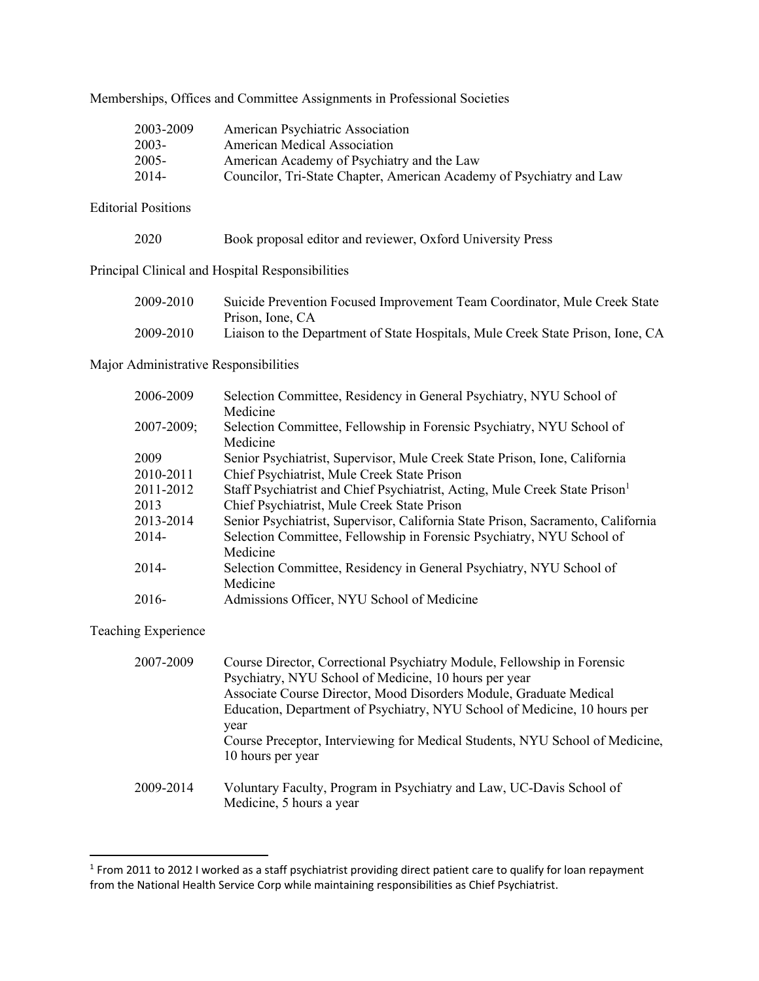Memberships, Offices and Committee Assignments in Professional Societies

| 2003-2009 | American Psychiatric Association                                     |
|-----------|----------------------------------------------------------------------|
| 2003-     | American Medical Association                                         |
| 2005-     | American Academy of Psychiatry and the Law                           |
| 2014-     | Councilor, Tri-State Chapter, American Academy of Psychiatry and Law |

Editorial Positions

| 2020 |  |  | Book proposal editor and reviewer, Oxford University Press |  |
|------|--|--|------------------------------------------------------------|--|
|------|--|--|------------------------------------------------------------|--|

Principal Clinical and Hospital Responsibilities

| 2009-2010 | Suicide Prevention Focused Improvement Team Coordinator, Mule Creek State       |
|-----------|---------------------------------------------------------------------------------|
|           | Prison, Ione, CA                                                                |
| 2009-2010 | Liaison to the Department of State Hospitals, Mule Creek State Prison, Ione, CA |

Major Administrative Responsibilities

| 2006-2009       | Selection Committee, Residency in General Psychiatry, NYU School of                     |
|-----------------|-----------------------------------------------------------------------------------------|
|                 | Medicine                                                                                |
| $2007 - 2009$ ; | Selection Committee, Fellowship in Forensic Psychiatry, NYU School of                   |
|                 | Medicine                                                                                |
| 2009            | Senior Psychiatrist, Supervisor, Mule Creek State Prison, Ione, California              |
| 2010-2011       | Chief Psychiatrist, Mule Creek State Prison                                             |
| 2011-2012       | Staff Psychiatrist and Chief Psychiatrist, Acting, Mule Creek State Prison <sup>1</sup> |
| 2013            | Chief Psychiatrist, Mule Creek State Prison                                             |
| 2013-2014       | Senior Psychiatrist, Supervisor, California State Prison, Sacramento, California        |
| $2014-$         | Selection Committee, Fellowship in Forensic Psychiatry, NYU School of                   |
|                 | Medicine                                                                                |
| 2014-           | Selection Committee, Residency in General Psychiatry, NYU School of                     |
|                 | Medicine                                                                                |
| 2016-           | Admissions Officer, NYU School of Medicine                                              |
|                 |                                                                                         |

Teaching Experience

| 2007-2009 | Course Director, Correctional Psychiatry Module, Fellowship in Forensic      |
|-----------|------------------------------------------------------------------------------|
|           | Psychiatry, NYU School of Medicine, 10 hours per year                        |
|           | Associate Course Director, Mood Disorders Module, Graduate Medical           |
|           | Education, Department of Psychiatry, NYU School of Medicine, 10 hours per    |
|           | year                                                                         |
|           | Course Preceptor, Interviewing for Medical Students, NYU School of Medicine, |
|           | 10 hours per year                                                            |
| 2009-2014 | Voluntary Faculty, Program in Psychiatry and Law, UC-Davis School of         |
|           | Medicine, 5 hours a year                                                     |

<sup>&</sup>lt;sup>1</sup> From 2011 to 2012 I worked as a staff psychiatrist providing direct patient care to qualify for loan repayment from the National Health Service Corp while maintaining responsibilities as Chief Psychiatrist.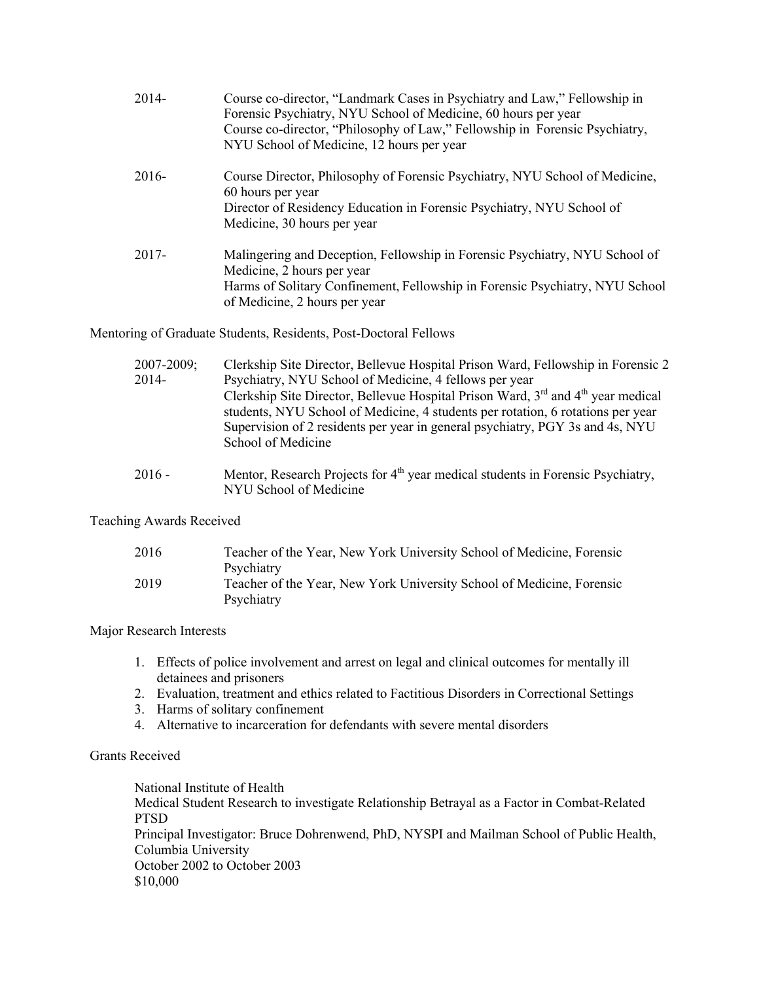| $2014-$  | Course co-director, "Landmark Cases in Psychiatry and Law," Fellowship in<br>Forensic Psychiatry, NYU School of Medicine, 60 hours per year<br>Course co-director, "Philosophy of Law," Fellowship in Forensic Psychiatry,<br>NYU School of Medicine, 12 hours per year |
|----------|-------------------------------------------------------------------------------------------------------------------------------------------------------------------------------------------------------------------------------------------------------------------------|
| 2016-    | Course Director, Philosophy of Forensic Psychiatry, NYU School of Medicine,<br>60 hours per year<br>Director of Residency Education in Forensic Psychiatry, NYU School of<br>Medicine, 30 hours per year                                                                |
| $2017 -$ | Malingering and Deception, Fellowship in Forensic Psychiatry, NYU School of<br>Medicine, 2 hours per year<br>Harms of Solitary Confinement, Fellowship in Forensic Psychiatry, NYU School<br>of Medicine, 2 hours per year                                              |

Mentoring of Graduate Students, Residents, Post-Doctoral Fellows

| $2007 - 2009$ ; | Clerkship Site Director, Bellevue Hospital Prison Ward, Fellowship in Forensic 2                         |
|-----------------|----------------------------------------------------------------------------------------------------------|
| 2014-           | Psychiatry, NYU School of Medicine, 4 fellows per year                                                   |
|                 | Clerkship Site Director, Bellevue Hospital Prison Ward, 3 <sup>rd</sup> and 4 <sup>th</sup> year medical |
|                 | students, NYU School of Medicine, 4 students per rotation, 6 rotations per year                          |
|                 | Supervision of 2 residents per year in general psychiatry, PGY 3s and 4s, NYU                            |
|                 | School of Medicine                                                                                       |
|                 |                                                                                                          |

2016 - Mentor, Research Projects for  $4<sup>th</sup>$  year medical students in Forensic Psychiatry, NYU School of Medicine

### Teaching Awards Received

| 2016 | Teacher of the Year, New York University School of Medicine, Forensic |
|------|-----------------------------------------------------------------------|
|      | Psychiatry                                                            |
| 2019 | Teacher of the Year, New York University School of Medicine, Forensic |
|      | Psychiatry                                                            |

#### Major Research Interests

- 1. Effects of police involvement and arrest on legal and clinical outcomes for mentally ill detainees and prisoners
- 2. Evaluation, treatment and ethics related to Factitious Disorders in Correctional Settings
- 3. Harms of solitary confinement
- 4. Alternative to incarceration for defendants with severe mental disorders

# Grants Received

National Institute of Health Medical Student Research to investigate Relationship Betrayal as a Factor in Combat-Related PTSD Principal Investigator: Bruce Dohrenwend, PhD, NYSPI and Mailman School of Public Health, Columbia University October 2002 to October 2003 \$10,000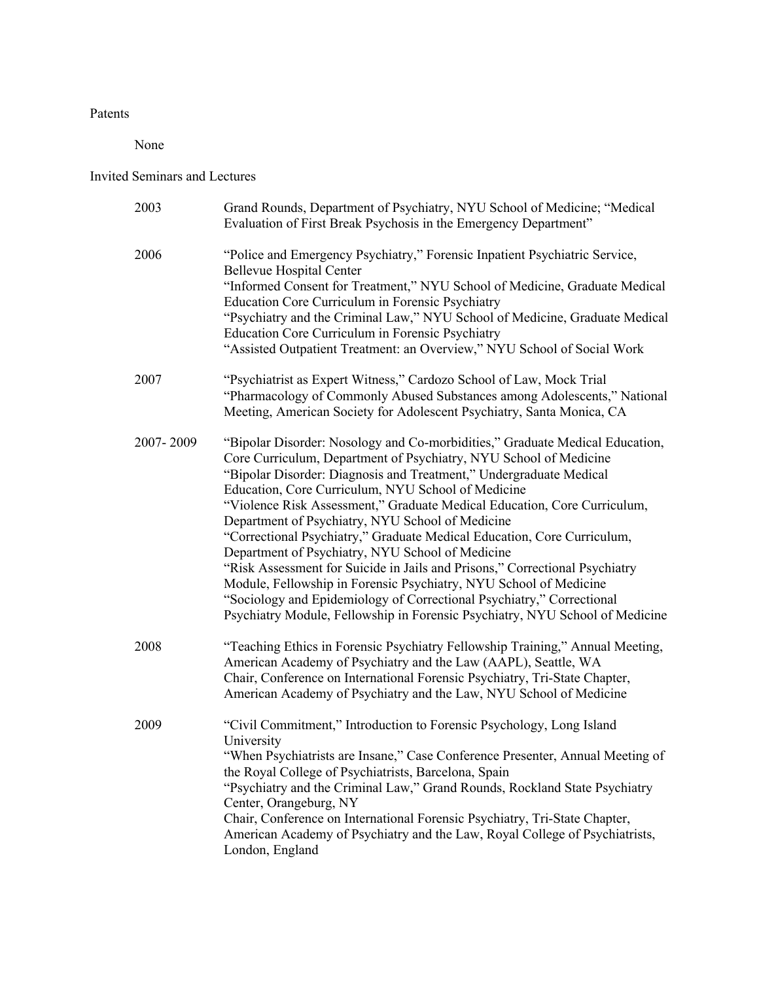## Patents

None

# Invited Seminars and Lectures

| 2003      | Grand Rounds, Department of Psychiatry, NYU School of Medicine; "Medical<br>Evaluation of First Break Psychosis in the Emergency Department"                                                                                                                                                                                                                                                                                                                                                                                                                                                                                                                                                                                                                                                                                                              |
|-----------|-----------------------------------------------------------------------------------------------------------------------------------------------------------------------------------------------------------------------------------------------------------------------------------------------------------------------------------------------------------------------------------------------------------------------------------------------------------------------------------------------------------------------------------------------------------------------------------------------------------------------------------------------------------------------------------------------------------------------------------------------------------------------------------------------------------------------------------------------------------|
| 2006      | "Police and Emergency Psychiatry," Forensic Inpatient Psychiatric Service,<br><b>Bellevue Hospital Center</b><br>"Informed Consent for Treatment," NYU School of Medicine, Graduate Medical<br>Education Core Curriculum in Forensic Psychiatry<br>"Psychiatry and the Criminal Law," NYU School of Medicine, Graduate Medical<br>Education Core Curriculum in Forensic Psychiatry<br>"Assisted Outpatient Treatment: an Overview," NYU School of Social Work                                                                                                                                                                                                                                                                                                                                                                                             |
| 2007      | "Psychiatrist as Expert Witness," Cardozo School of Law, Mock Trial<br>"Pharmacology of Commonly Abused Substances among Adolescents," National<br>Meeting, American Society for Adolescent Psychiatry, Santa Monica, CA                                                                                                                                                                                                                                                                                                                                                                                                                                                                                                                                                                                                                                  |
| 2007-2009 | "Bipolar Disorder: Nosology and Co-morbidities," Graduate Medical Education,<br>Core Curriculum, Department of Psychiatry, NYU School of Medicine<br>"Bipolar Disorder: Diagnosis and Treatment," Undergraduate Medical<br>Education, Core Curriculum, NYU School of Medicine<br>"Violence Risk Assessment," Graduate Medical Education, Core Curriculum,<br>Department of Psychiatry, NYU School of Medicine<br>"Correctional Psychiatry," Graduate Medical Education, Core Curriculum,<br>Department of Psychiatry, NYU School of Medicine<br>"Risk Assessment for Suicide in Jails and Prisons," Correctional Psychiatry<br>Module, Fellowship in Forensic Psychiatry, NYU School of Medicine<br>"Sociology and Epidemiology of Correctional Psychiatry," Correctional<br>Psychiatry Module, Fellowship in Forensic Psychiatry, NYU School of Medicine |
| 2008      | "Teaching Ethics in Forensic Psychiatry Fellowship Training," Annual Meeting,<br>American Academy of Psychiatry and the Law (AAPL), Seattle, WA<br>Chair, Conference on International Forensic Psychiatry, Tri-State Chapter,<br>American Academy of Psychiatry and the Law, NYU School of Medicine                                                                                                                                                                                                                                                                                                                                                                                                                                                                                                                                                       |
| 2009      | "Civil Commitment," Introduction to Forensic Psychology, Long Island<br>University<br>"When Psychiatrists are Insane," Case Conference Presenter, Annual Meeting of<br>the Royal College of Psychiatrists, Barcelona, Spain<br>"Psychiatry and the Criminal Law," Grand Rounds, Rockland State Psychiatry<br>Center, Orangeburg, NY<br>Chair, Conference on International Forensic Psychiatry, Tri-State Chapter,<br>American Academy of Psychiatry and the Law, Royal College of Psychiatrists,<br>London, England                                                                                                                                                                                                                                                                                                                                       |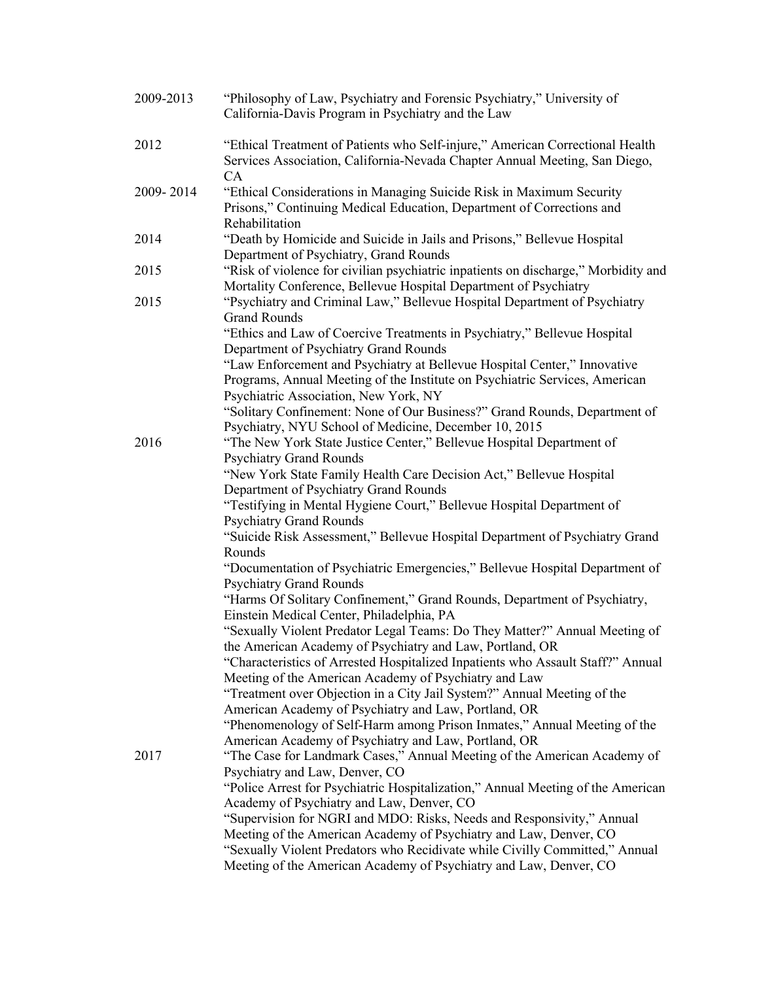| 2009-2013 | "Philosophy of Law, Psychiatry and Forensic Psychiatry," University of<br>California-Davis Program in Psychiatry and the Law                                                                                          |
|-----------|-----------------------------------------------------------------------------------------------------------------------------------------------------------------------------------------------------------------------|
| 2012      | "Ethical Treatment of Patients who Self-injure," American Correctional Health<br>Services Association, California-Nevada Chapter Annual Meeting, San Diego,                                                           |
| 2009-2014 | CA<br>"Ethical Considerations in Managing Suicide Risk in Maximum Security<br>Prisons," Continuing Medical Education, Department of Corrections and                                                                   |
| 2014      | Rehabilitation<br>"Death by Homicide and Suicide in Jails and Prisons," Bellevue Hospital<br>Department of Psychiatry, Grand Rounds                                                                                   |
| 2015      | "Risk of violence for civilian psychiatric inpatients on discharge," Morbidity and<br>Mortality Conference, Bellevue Hospital Department of Psychiatry                                                                |
| 2015      | "Psychiatry and Criminal Law," Bellevue Hospital Department of Psychiatry<br><b>Grand Rounds</b>                                                                                                                      |
|           | "Ethics and Law of Coercive Treatments in Psychiatry," Bellevue Hospital<br>Department of Psychiatry Grand Rounds                                                                                                     |
|           | "Law Enforcement and Psychiatry at Bellevue Hospital Center," Innovative<br>Programs, Annual Meeting of the Institute on Psychiatric Services, American<br>Psychiatric Association, New York, NY                      |
|           | "Solitary Confinement: None of Our Business?" Grand Rounds, Department of<br>Psychiatry, NYU School of Medicine, December 10, 2015                                                                                    |
| 2016      | "The New York State Justice Center," Bellevue Hospital Department of<br><b>Psychiatry Grand Rounds</b>                                                                                                                |
|           | "New York State Family Health Care Decision Act," Bellevue Hospital<br>Department of Psychiatry Grand Rounds                                                                                                          |
|           | "Testifying in Mental Hygiene Court," Bellevue Hospital Department of                                                                                                                                                 |
|           | <b>Psychiatry Grand Rounds</b><br>"Suicide Risk Assessment," Bellevue Hospital Department of Psychiatry Grand<br>Rounds                                                                                               |
|           | "Documentation of Psychiatric Emergencies," Bellevue Hospital Department of<br><b>Psychiatry Grand Rounds</b>                                                                                                         |
|           | "Harms Of Solitary Confinement," Grand Rounds, Department of Psychiatry,<br>Einstein Medical Center, Philadelphia, PA                                                                                                 |
|           | "Sexually Violent Predator Legal Teams: Do They Matter?" Annual Meeting of<br>the American Academy of Psychiatry and Law, Portland, OR                                                                                |
|           | "Characteristics of Arrested Hospitalized Inpatients who Assault Staff?" Annual<br>Meeting of the American Academy of Psychiatry and Law                                                                              |
|           | "Treatment over Objection in a City Jail System?" Annual Meeting of the<br>American Academy of Psychiatry and Law, Portland, OR                                                                                       |
|           | "Phenomenology of Self-Harm among Prison Inmates," Annual Meeting of the<br>American Academy of Psychiatry and Law, Portland, OR                                                                                      |
| 2017      | "The Case for Landmark Cases," Annual Meeting of the American Academy of<br>Psychiatry and Law, Denver, CO                                                                                                            |
|           | "Police Arrest for Psychiatric Hospitalization," Annual Meeting of the American<br>Academy of Psychiatry and Law, Denver, CO                                                                                          |
|           | "Supervision for NGRI and MDO: Risks, Needs and Responsivity," Annual                                                                                                                                                 |
|           | Meeting of the American Academy of Psychiatry and Law, Denver, CO<br>"Sexually Violent Predators who Recidivate while Civilly Committed," Annual<br>Meeting of the American Academy of Psychiatry and Law, Denver, CO |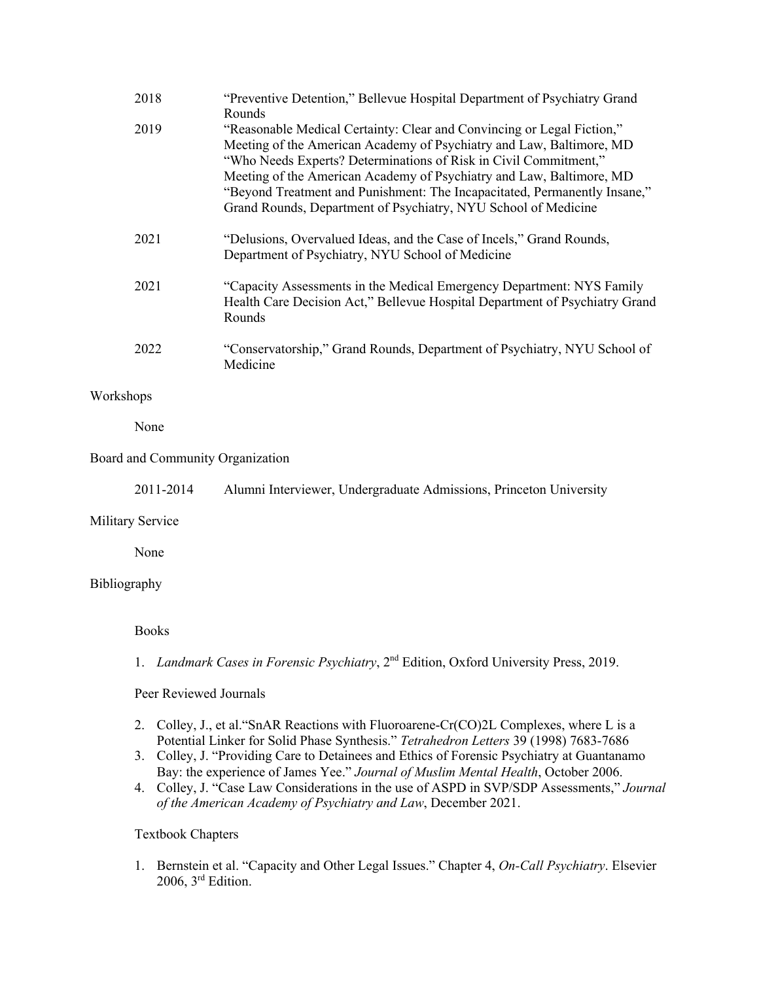| 2018 | "Preventive Detention," Bellevue Hospital Department of Psychiatry Grand<br><b>Rounds</b>                                                                                                                                                                                                                                                                                                                                                 |
|------|-------------------------------------------------------------------------------------------------------------------------------------------------------------------------------------------------------------------------------------------------------------------------------------------------------------------------------------------------------------------------------------------------------------------------------------------|
| 2019 | "Reasonable Medical Certainty: Clear and Convincing or Legal Fiction,"<br>Meeting of the American Academy of Psychiatry and Law, Baltimore, MD<br>"Who Needs Experts? Determinations of Risk in Civil Commitment,"<br>Meeting of the American Academy of Psychiatry and Law, Baltimore, MD<br>"Beyond Treatment and Punishment: The Incapacitated, Permanently Insane,"<br>Grand Rounds, Department of Psychiatry, NYU School of Medicine |
| 2021 | "Delusions, Overvalued Ideas, and the Case of Incels," Grand Rounds,<br>Department of Psychiatry, NYU School of Medicine                                                                                                                                                                                                                                                                                                                  |
| 2021 | "Capacity Assessments in the Medical Emergency Department: NYS Family<br>Health Care Decision Act," Bellevue Hospital Department of Psychiatry Grand<br>Rounds                                                                                                                                                                                                                                                                            |
| 2022 | "Conservatorship," Grand Rounds, Department of Psychiatry, NYU School of<br>Medicine                                                                                                                                                                                                                                                                                                                                                      |

# Workshops

None

### Board and Community Organization

2011-2014 Alumni Interviewer, Undergraduate Admissions, Princeton University

### Military Service

None

### Bibliography

### Books

1. *Landmark Cases in Forensic Psychiatry*, 2nd Edition, Oxford University Press, 2019.

### Peer Reviewed Journals

- 2. Colley, J., et al."SnAR Reactions with Fluoroarene-Cr(CO)2L Complexes, where L is a Potential Linker for Solid Phase Synthesis." *Tetrahedron Letters* 39 (1998) 7683-7686
- 3. Colley, J. "Providing Care to Detainees and Ethics of Forensic Psychiatry at Guantanamo Bay: the experience of James Yee." *Journal of Muslim Mental Health*, October 2006.
- 4. Colley, J. "Case Law Considerations in the use of ASPD in SVP/SDP Assessments," *Journal of the American Academy of Psychiatry and Law*, December 2021.

### Textbook Chapters

1. Bernstein et al. "Capacity and Other Legal Issues." Chapter 4, *On-Call Psychiatry*. Elsevier 2006,  $3<sup>rd</sup>$  Edition.